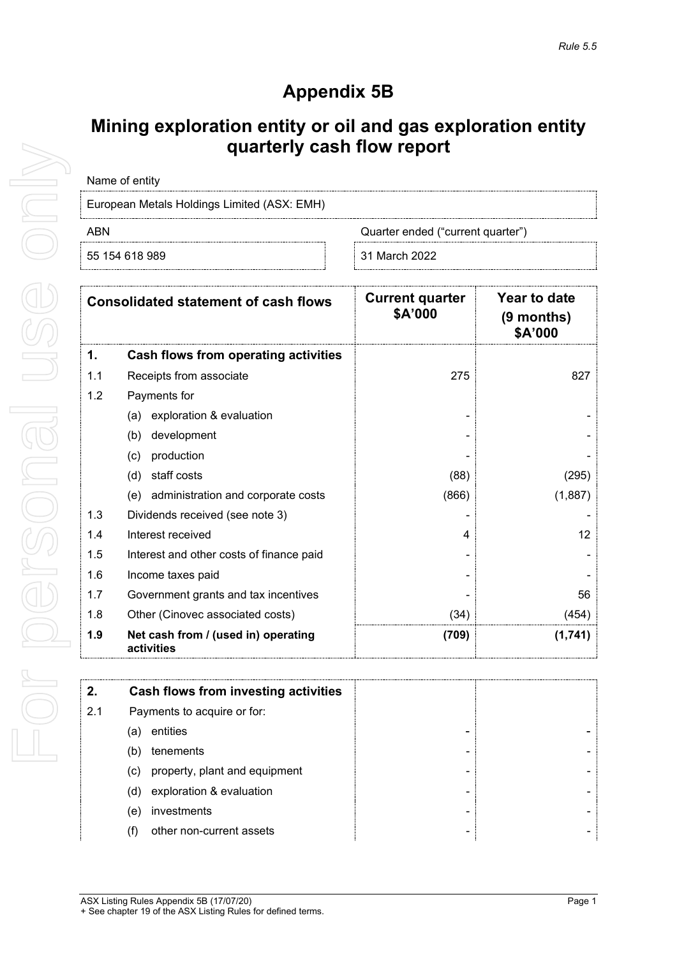## **Appendix 5B**

## **Mining exploration entity or oil and gas exploration entity quarterly cash flow report**

| Name of entity                              |
|---------------------------------------------|
| European Metals Holdings Limited (ASX: EMH) |

ABN **ABN** Quarter ended ("current quarter")

55 154 618 989 31 March 2022

| <b>Consolidated statement of cash flows</b> |                                                   | <b>Current quarter</b><br>\$A'000 | Year to date<br>$(9$ months)<br>\$A'000 |
|---------------------------------------------|---------------------------------------------------|-----------------------------------|-----------------------------------------|
| 1.                                          | Cash flows from operating activities              |                                   |                                         |
| 1.1                                         | Receipts from associate                           | 275                               | 827                                     |
| 1.2                                         | Payments for                                      |                                   |                                         |
|                                             | exploration & evaluation<br>(a)                   |                                   |                                         |
|                                             | development<br>(b)                                |                                   |                                         |
|                                             | (c)<br>production                                 |                                   |                                         |
|                                             | staff costs<br>(d)                                | (88)                              | (295)                                   |
|                                             | administration and corporate costs<br>(e)         | (866)                             | (1,887)                                 |
| 1.3                                         | Dividends received (see note 3)                   |                                   |                                         |
| 1.4                                         | Interest received                                 | 4                                 | 12                                      |
| 1.5                                         | Interest and other costs of finance paid          |                                   |                                         |
| 1.6                                         | Income taxes paid                                 |                                   |                                         |
| 1.7                                         | Government grants and tax incentives              |                                   | 56                                      |
| 1.8                                         | Other (Cinovec associated costs)                  | (34)                              | (454)                                   |
| 1.9                                         | Net cash from / (used in) operating<br>activities | (709)                             | (1,741)                                 |

| 2.  | Cash flows from investing activities |   |  |
|-----|--------------------------------------|---|--|
| 2.1 | Payments to acquire or for:          |   |  |
|     | entities<br>(a)                      |   |  |
|     | tenements<br>(b)                     | - |  |
|     | property, plant and equipment<br>(c) | - |  |
|     | exploration & evaluation<br>(d)      |   |  |
|     | investments<br>(e)                   |   |  |
|     | other non-current assets             |   |  |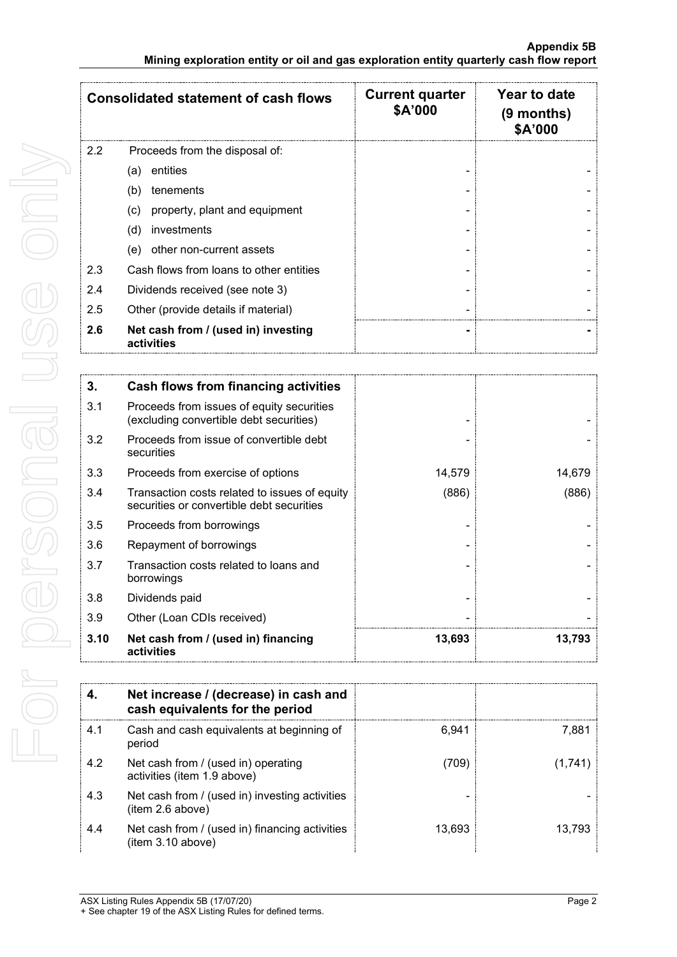|                  | <b>Consolidated statement of cash flows</b>       | <b>Current quarter</b><br>\$A'000 | Year to date<br>$(9$ months)<br><b>\$A'000</b> |
|------------------|---------------------------------------------------|-----------------------------------|------------------------------------------------|
| $2.2\phantom{0}$ | Proceeds from the disposal of:                    |                                   |                                                |
|                  | entities<br>(a)                                   |                                   |                                                |
|                  | (b)<br>tenements                                  |                                   |                                                |
|                  | property, plant and equipment<br>(c)              |                                   |                                                |
|                  | investments<br>(d)                                |                                   |                                                |
|                  | other non-current assets<br>(e)                   |                                   |                                                |
| 2.3              | Cash flows from loans to other entities           |                                   |                                                |
| 2.4              | Dividends received (see note 3)                   |                                   |                                                |
| 2.5              | Other (provide details if material)               |                                   |                                                |
| 2.6              | Net cash from / (used in) investing<br>activities |                                   |                                                |

| 3.   | <b>Cash flows from financing activities</b>                                                |        |        |
|------|--------------------------------------------------------------------------------------------|--------|--------|
| 3.1  | Proceeds from issues of equity securities<br>(excluding convertible debt securities)       |        |        |
| 3.2  | Proceeds from issue of convertible debt<br>securities                                      |        |        |
| 3.3  | Proceeds from exercise of options                                                          | 14,579 | 14,679 |
| 3.4  | Transaction costs related to issues of equity<br>securities or convertible debt securities | (886)  | (886)  |
| 3.5  | Proceeds from borrowings                                                                   |        |        |
| 3.6  | Repayment of borrowings                                                                    |        |        |
| 3.7  | Transaction costs related to loans and<br>borrowings                                       |        |        |
| 3.8  | Dividends paid                                                                             |        |        |
| 3.9  | Other (Loan CDIs received)                                                                 |        |        |
| 3.10 | Net cash from / (used in) financing<br>activities                                          | 13,693 | 13,793 |

|     | Net increase / (decrease) in cash and<br>cash equivalents for the period |        |          |
|-----|--------------------------------------------------------------------------|--------|----------|
| 4.1 | Cash and cash equivalents at beginning of<br>period                      | 6.941  | 7.881    |
| 4.2 | Net cash from / (used in) operating<br>activities (item 1.9 above)       | (709)  | (1, 741) |
| 4.3 | Net cash from / (used in) investing activities<br>(item 2.6 above)       |        |          |
| 4.4 | Net cash from / (used in) financing activities<br>(item 3.10 above)      | 13,693 | 13.793   |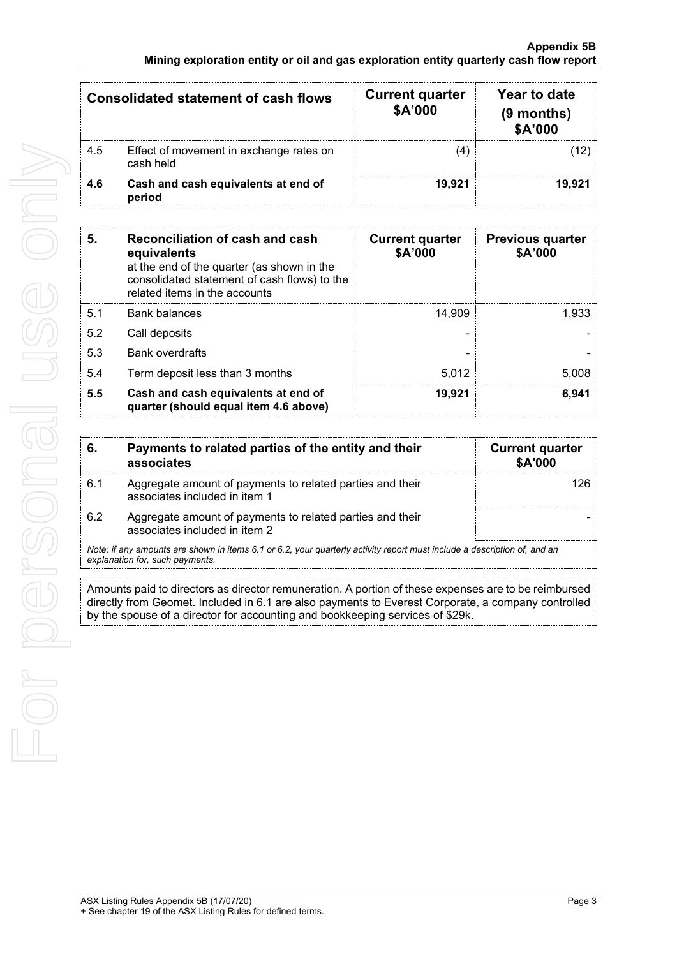| <b>Consolidated statement of cash flows</b> |                                                      | <b>Current quarter</b><br><b>\$A'000</b> | Year to date<br>(9 months)<br>\$A'000 |
|---------------------------------------------|------------------------------------------------------|------------------------------------------|---------------------------------------|
| 4.5                                         | Effect of movement in exchange rates on<br>cash held |                                          |                                       |
| 4.6                                         | Cash and cash equivalents at end of<br>period        | 19.921                                   |                                       |

| 5.  | Reconciliation of cash and cash<br>equivalents<br>at the end of the quarter (as shown in the<br>consolidated statement of cash flows) to the<br>related items in the accounts | <b>Current quarter</b><br>\$A'000 | <b>Previous quarter</b><br>\$A'000 |
|-----|-------------------------------------------------------------------------------------------------------------------------------------------------------------------------------|-----------------------------------|------------------------------------|
| 5.1 | <b>Bank balances</b>                                                                                                                                                          | 14.909                            | 1.933                              |
| 5.2 | Call deposits                                                                                                                                                                 |                                   |                                    |
| 5.3 | <b>Bank overdrafts</b>                                                                                                                                                        |                                   |                                    |
| 5.4 | Term deposit less than 3 months                                                                                                                                               | 5.012                             | 5.008                              |
| 5.5 | Cash and cash equivalents at end of<br>quarter (should equal item 4.6 above)                                                                                                  | 19,921                            | 6.941                              |

| -6.                                                                                                                      | Payments to related parties of the entity and their<br>associates                          | <b>Current quarter</b><br><b>\$A'000</b> |
|--------------------------------------------------------------------------------------------------------------------------|--------------------------------------------------------------------------------------------|------------------------------------------|
| 6.1                                                                                                                      | Aggregate amount of payments to related parties and their<br>associates included in item 1 |                                          |
| 6.2                                                                                                                      | Aggregate amount of payments to related parties and their<br>associates included in item 2 |                                          |
| Note: if any amounts are shown in items 6.1 or 6.2, your quarterly activity report must include a description of, and an |                                                                                            |                                          |

*explanation for, such payments.*

Amounts paid to directors as director remuneration. A portion of these expenses are to be reimbursed directly from Geomet. Included in 6.1 are also payments to Everest Corporate, a company controlled by the spouse of a director for accounting and bookkeeping services of \$29k.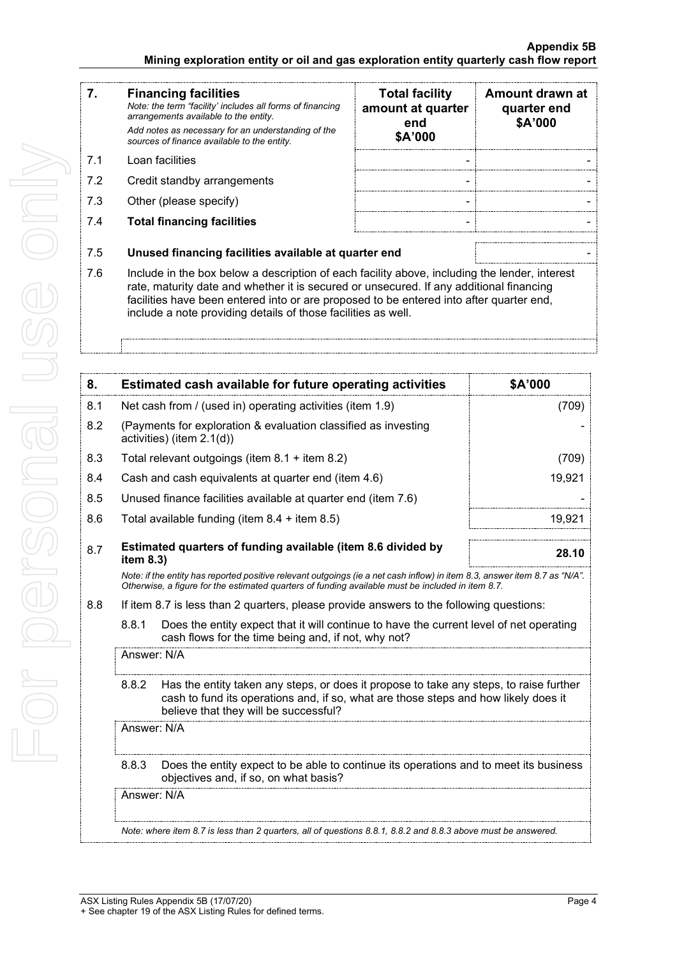| 7.  | <b>Financing facilities</b><br>Note: the term "facility' includes all forms of financing<br>arrangements available to the entity.<br>Add notes as necessary for an understanding of the<br>sources of finance available to the entity. | <b>Total facility</b><br>amount at quarter<br>end<br>\$A'000 | Amount drawn at<br>quarter end<br>\$A'000 |
|-----|----------------------------------------------------------------------------------------------------------------------------------------------------------------------------------------------------------------------------------------|--------------------------------------------------------------|-------------------------------------------|
| 71  | Loan facilities                                                                                                                                                                                                                        |                                                              |                                           |
| 7.2 | Credit standby arrangements                                                                                                                                                                                                            |                                                              |                                           |
| 7.3 | Other (please specify)                                                                                                                                                                                                                 |                                                              |                                           |
| 7.4 | <b>Total financing facilities</b>                                                                                                                                                                                                      |                                                              |                                           |
| 7.5 | Unused financing facilities available at quarter end                                                                                                                                                                                   |                                                              |                                           |

7.6 Include in the box below a description of each facility above, including the lender, interest rate, maturity date and whether it is secured or unsecured. If any additional financing facilities have been entered into or are proposed to be entered into after quarter end, include a note providing details of those facilities as well.

| 8.  |                                                           | Estimated cash available for future operating activities                                                                                                                                                                        | \$A'000 |  |
|-----|-----------------------------------------------------------|---------------------------------------------------------------------------------------------------------------------------------------------------------------------------------------------------------------------------------|---------|--|
| 8.1 | Net cash from / (used in) operating activities (item 1.9) |                                                                                                                                                                                                                                 | (709)   |  |
| 8.2 |                                                           | (Payments for exploration & evaluation classified as investing<br>activities) (item 2.1(d))                                                                                                                                     |         |  |
| 8.3 |                                                           | Total relevant outgoings (item $8.1 +$ item $8.2$ )                                                                                                                                                                             | (709)   |  |
| 8.4 |                                                           | Cash and cash equivalents at quarter end (item 4.6)                                                                                                                                                                             | 19,921  |  |
| 8.5 |                                                           | Unused finance facilities available at quarter end (item 7.6)                                                                                                                                                                   |         |  |
| 8.6 |                                                           | Total available funding (item $8.4 +$ item $8.5$ )                                                                                                                                                                              | 19,921  |  |
| 8.7 | item 8.3)                                                 | Estimated quarters of funding available (item 8.6 divided by                                                                                                                                                                    | 28.10   |  |
|     |                                                           | Note: if the entity has reported positive relevant outgoings (ie a net cash inflow) in item 8.3, answer item 8.7 as "N/A".<br>Otherwise, a figure for the estimated quarters of funding available must be included in item 8.7. |         |  |
| 8.8 |                                                           | If item 8.7 is less than 2 quarters, please provide answers to the following questions:                                                                                                                                         |         |  |
|     | 8.8.1                                                     | Does the entity expect that it will continue to have the current level of net operating<br>cash flows for the time being and, if not, why not?                                                                                  |         |  |
|     |                                                           | Answer: N/A                                                                                                                                                                                                                     |         |  |
|     | 8.8.2                                                     | Has the entity taken any steps, or does it propose to take any steps, to raise further<br>cash to fund its operations and, if so, what are those steps and how likely does it<br>believe that they will be successful?          |         |  |
|     |                                                           | Answer: N/A                                                                                                                                                                                                                     |         |  |
|     | 8.8.3                                                     | Does the entity expect to be able to continue its operations and to meet its business<br>objectives and, if so, on what basis?                                                                                                  |         |  |
|     |                                                           | Answer: N/A                                                                                                                                                                                                                     |         |  |
|     |                                                           | Note: where item 8.7 is less than 2 quarters, all of questions 8.8.1, 8.8.2 and 8.8.3 above must be answered.                                                                                                                   |         |  |